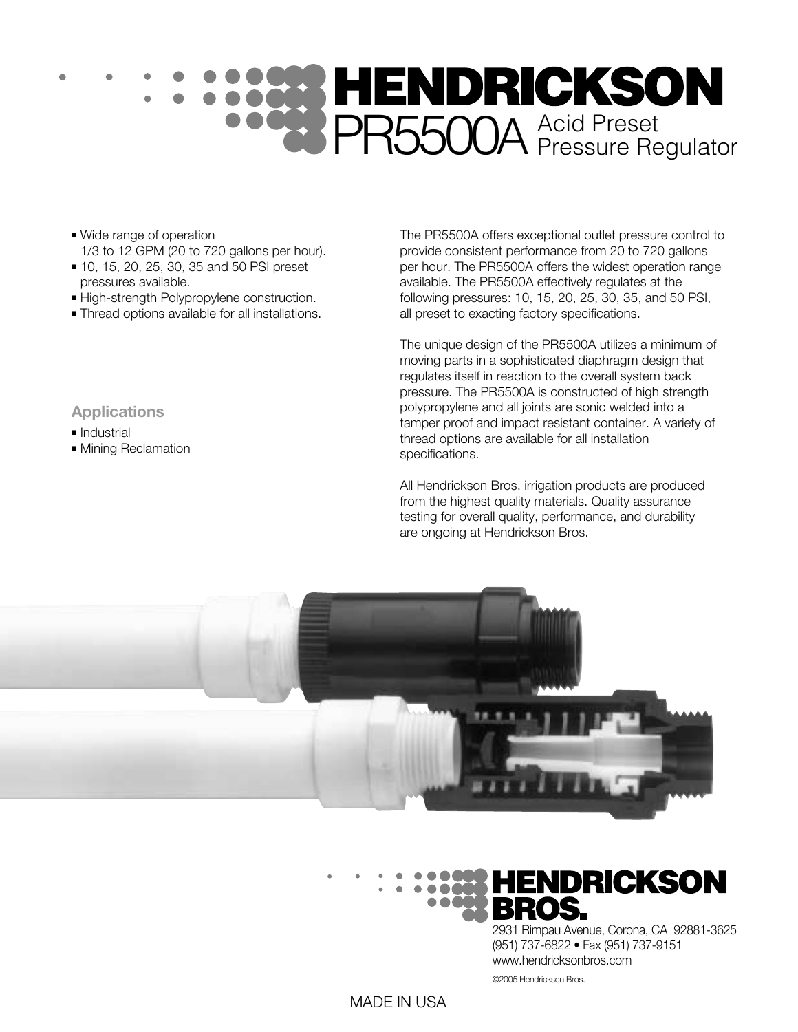# PR5500A Acid Preset

- Wide range of operation 1/3 to 12 GPM (20 to 720 gallons per hour).
- 10, 15, 20, 25, 30, 35 and 50 PSI preset pressures available.
- High-strength Polypropylene construction.
- Thread options available for all installations.

The PR5500A offers exceptional outlet pressure control to provide consistent performance from 20 to 720 gallons per hour. The PR5500A offers the widest operation range available. The PR5500A effectively regulates at the following pressures: 10, 15, 20, 25, 30, 35, and 50 PSI, all preset to exacting factory specifications.

The unique design of the PR5500A utilizes a minimum of moving parts in a sophisticated diaphragm design that regulates itself in reaction to the overall system back pressure. The PR5500A is constructed of high strength polypropylene and all joints are sonic welded into a tamper proof and impact resistant container. A variety of thread options are available for all installation specifications.

All Hendrickson Bros. irrigation products are produced from the highest quality materials. Quality assurance testing for overall quality, performance, and durability are ongoing at Hendrickson Bros.





2931 Rimpau Avenue, Corona, CA 92881-3625 (951) 737-6822 • Fax (951) 737-9151 www.hendricksonbros.com

©2005 Hendrickson Bros.

#### **Applications**

- Industrial
- Mining Reclamation

MADE IN USA